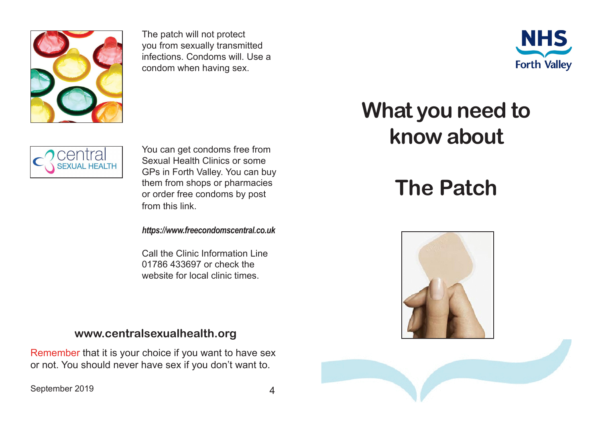

The patch will not protect you from sexually transmitted infections. Condoms will. Use a condom when having sex.





You can get condoms free from Sexual Health Clinics or some GPs in Forth Valley. You can buy them from shops or pharmacies or order free condoms by post from this link.

*https://www.freecondomscentral.co.uk*

Call the Clinic Information Line 01786 433697 or check the website for local clinic times.

## **www.centralsexualhealth.org**

Remember that it is your choice if you want to have sex or not. You should never have sex if you don't want to.

September 2019 4

## **What you need to know about**

## **The Patch**